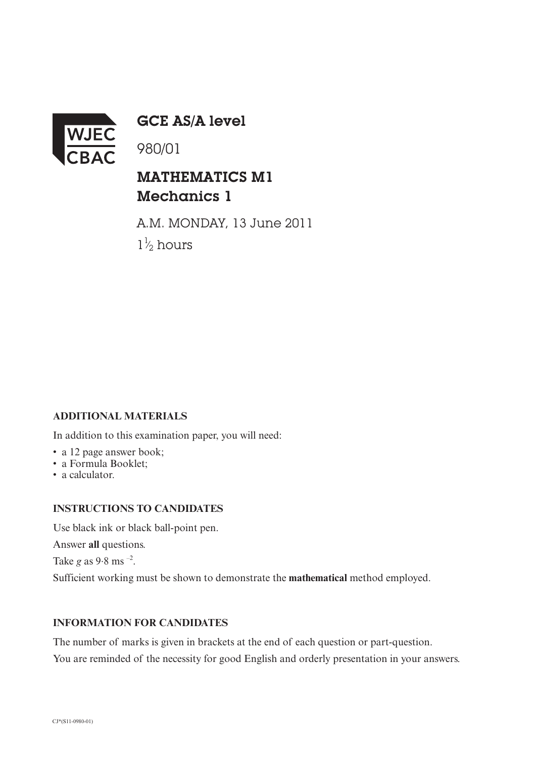

GCE AS/A level

980/01

## MATHEMATICS M1 Mechanics 1

A.M. MONDAY, 13 June 2011  $1\frac{1}{2}$  hours ⁄

## **ADDITIONAL MATERIALS**

In addition to this examination paper, you will need:

- a 12 page answer book;
- a Formula Booklet;
- a calculator.

## **INSTRUCTIONS TO CANDIDATES**

Use black ink or black ball-point pen.

Answer **all** questions.

Take  $g$  as  $9.8$  ms  $^{-2}$ .

Sufficient working must be shown to demonstrate the **mathematical** method employed.

## **INFORMATION FOR CANDIDATES**

The number of marks is given in brackets at the end of each question or part-question. You are reminded of the necessity for good English and orderly presentation in your answers.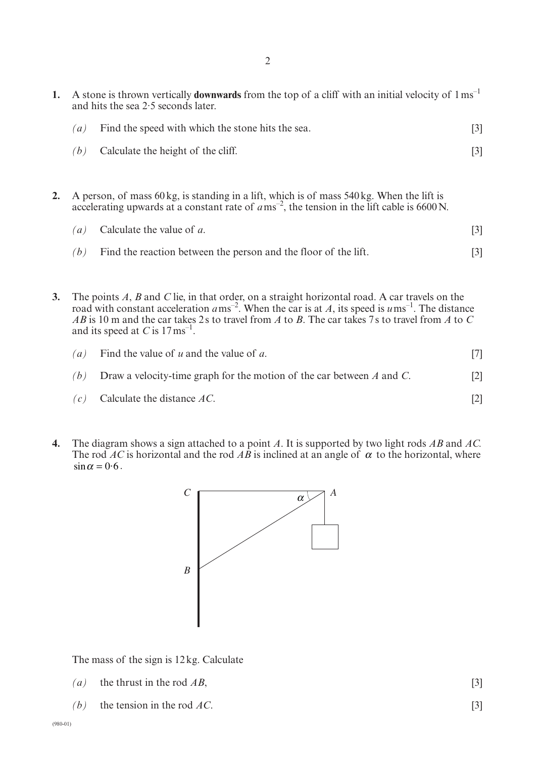| A stone is thrown vertically <b>downwards</b> from the top of a cliff with an initial velocity of $1 \text{ ms}^{-1}$<br>and hits the sea $2.5$ seconds later. |                                                                                        |     |  |
|----------------------------------------------------------------------------------------------------------------------------------------------------------------|----------------------------------------------------------------------------------------|-----|--|
| $\left( a\right)$                                                                                                                                              | Find the speed with which the stone hits the sea.                                      | [3] |  |
| (h)                                                                                                                                                            | Calculate the height of the cliff.                                                     |     |  |
|                                                                                                                                                                | A norgan of mass 60 kg is standing in a lift which is of mass 540 kg. When the lift is |     |  |

**2.** A person, of mass 60kg, is standing in a lift, which is of mass 540kg. When the lift is accelerating upwards at a constant rate of  $a\,\text{ms}^{-2}$ , the tension in the lift cable is 6600 N.

|     | ( <i>a</i> ) Calculate the value of <i>a</i> .                  |  |
|-----|-----------------------------------------------------------------|--|
| (b) | Find the reaction between the person and the floor of the lift. |  |

**3.** The points *A*, *B* and *C* lie, in that order, on a straight horizontal road. A car travels on the road with constant acceleration  $a$ ms<sup>-2</sup>. When the car is at *A*, its speed is  $u$ ms<sup>-1</sup>. The distance *AB* is 10 m and the car takes 2s to travel from *A* to *B*. The car takes 7s to travel from *A* to *C* and its speed at  $C$  is  $17 \text{ ms}^{-1}$ .

| $\left( a\right)$ | Find the value of $u$ and the value of $a$ .                               |                   |
|-------------------|----------------------------------------------------------------------------|-------------------|
| (b)               | Draw a velocity-time graph for the motion of the car between $A$ and $C$ . | $\lceil 2 \rceil$ |
|                   | $(c)$ Calculate the distance AC.                                           |                   |

**4.** The diagram shows a sign attached to a point *A*. It is supported by two light rods *AB* and *AC.* The rod AC is horizontal and the rod AB is inclined at an angle of  $\alpha$  to the horizontal, where  $\sin \alpha = 0.6$ .



The mass of the sign is 12kg. Calculate

- *(a)* the thrust in the rod  $AB$ , [3]
- *(b)* the tension in the rod *AC*. [3]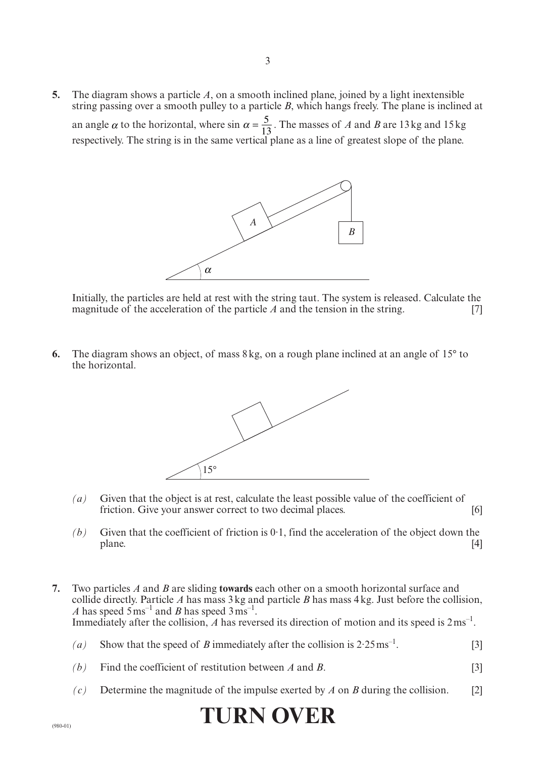**5.** The diagram shows a particle *A*, on a smooth inclined plane, joined by a light inextensible string passing over a smooth pulley to a particle *B*, which hangs freely. The plane is inclined at an angle  $\alpha$  to the horizontal, where sin  $\alpha = \frac{5}{13}$ . The masses of *A* and *B* are 13kg and 15kg respectively. The string is in the same vertical plane as a line of greatest slope of the plane.



Initially, the particles are held at rest with the string taut. The system is released. Calculate the magnitude of the acceleration of the particle *A* and the tension in the string. [7]

**6.** The diagram shows an object, of mass 8kg, on a rough plane inclined at an angle of 15° to the horizontal.



- *(a)* Given that the object is at rest, calculate the least possible value of the coefficient of friction. Give your answer correct to two decimal places. [6]
- $(b)$  Given that the coefficient of friction is 0.1, find the acceleration of the object down the plane. [4]
- **7.** Two particles *A* and *B* are sliding **towards** each other on a smooth horizontal surface and collide directly. Particle *A* has mass 3kg and particle *B* has mass 4kg. Just before the collision, *A* has speed  $5 \text{ ms}^{-1}$  and *B* has speed  $3 \text{ ms}^{-1}$ . Immediately after the collision, A has reversed its direction of motion and its speed is  $2 \text{ ms}^{-1}$ .
	- (*a*) Show that the speed of *B* immediately after the collision is  $2.25 \text{ ms}^{-1}$ . [3]
	- *(b)* Find the coefficient of restitution between *A* and *B*. [3]
	- *(c)* Determine the magnitude of the impulse exerted by *A* on *B* during the collision. [2]

**TURN OVER**